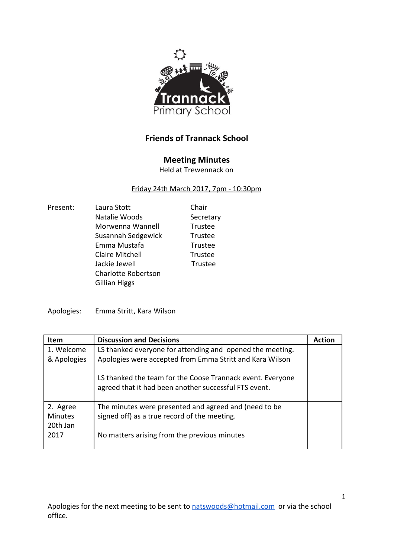

## **Friends of Trannack School**

## **Meeting Minutes**

Held at Trewennack on

## Friday 24th March 2017, 7pm - 10:30pm

| Present: | Laura Stott                | Chair          |
|----------|----------------------------|----------------|
|          | Natalie Woods              | Secretary      |
|          | Morwenna Wannell           | Trustee        |
|          | Susannah Sedgewick         | Trustee        |
|          | Emma Mustafa               | Trustee        |
|          | <b>Claire Mitchell</b>     | Trustee        |
|          | Jackie Jewell              | <b>Trustee</b> |
|          | <b>Charlotte Robertson</b> |                |
|          | <b>Gillian Higgs</b>       |                |
|          |                            |                |

Apologies: Emma Stritt, Kara Wilson

| Item           | <b>Discussion and Decisions</b>                                                                                     | <b>Action</b> |
|----------------|---------------------------------------------------------------------------------------------------------------------|---------------|
| 1. Welcome     | LS thanked everyone for attending and opened the meeting.                                                           |               |
| & Apologies    | Apologies were accepted from Emma Stritt and Kara Wilson                                                            |               |
|                | LS thanked the team for the Coose Trannack event. Everyone<br>agreed that it had been another successful FTS event. |               |
| 2. Agree       | The minutes were presented and agreed and (need to be                                                               |               |
| <b>Minutes</b> | signed off) as a true record of the meeting.                                                                        |               |
| 20th Jan       |                                                                                                                     |               |
| 2017           | No matters arising from the previous minutes                                                                        |               |
|                |                                                                                                                     |               |

Apologies for the next meeting to be sent to [natswoods@hotmail.com](mailto:natswoods@hotmail.com) or via the school office.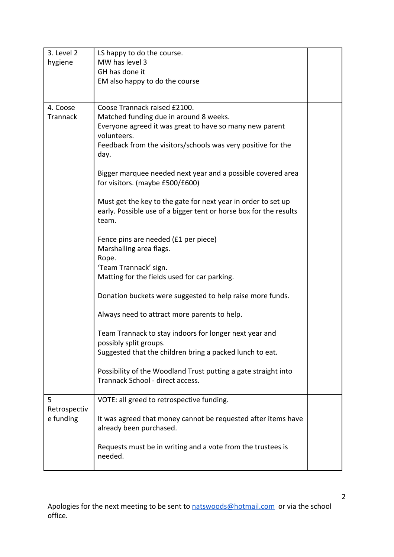| 3. Level 2      | LS happy to do the course.                                                                                                         |  |
|-----------------|------------------------------------------------------------------------------------------------------------------------------------|--|
| hygiene         | MW has level 3                                                                                                                     |  |
|                 | GH has done it                                                                                                                     |  |
|                 | EM also happy to do the course                                                                                                     |  |
|                 |                                                                                                                                    |  |
| 4. Coose        | Coose Trannack raised £2100.                                                                                                       |  |
| <b>Trannack</b> | Matched funding due in around 8 weeks.                                                                                             |  |
|                 | Everyone agreed it was great to have so many new parent                                                                            |  |
|                 | volunteers.                                                                                                                        |  |
|                 | Feedback from the visitors/schools was very positive for the<br>day.                                                               |  |
|                 |                                                                                                                                    |  |
|                 | Bigger marquee needed next year and a possible covered area<br>for visitors. (maybe £500/£600)                                     |  |
|                 |                                                                                                                                    |  |
|                 | Must get the key to the gate for next year in order to set up<br>early. Possible use of a bigger tent or horse box for the results |  |
|                 | team.                                                                                                                              |  |
|                 | Fence pins are needed (£1 per piece)                                                                                               |  |
|                 | Marshalling area flags.                                                                                                            |  |
|                 | Rope.                                                                                                                              |  |
|                 | 'Team Trannack' sign.                                                                                                              |  |
|                 | Matting for the fields used for car parking.                                                                                       |  |
|                 | Donation buckets were suggested to help raise more funds.                                                                          |  |
|                 | Always need to attract more parents to help.                                                                                       |  |
|                 | Team Trannack to stay indoors for longer next year and                                                                             |  |
|                 | possibly split groups.                                                                                                             |  |
|                 | Suggested that the children bring a packed lunch to eat.                                                                           |  |
|                 | Possibility of the Woodland Trust putting a gate straight into                                                                     |  |
|                 | Trannack School - direct access.                                                                                                   |  |
| 5               | VOTE: all greed to retrospective funding.                                                                                          |  |
| Retrospectiv    |                                                                                                                                    |  |
| e funding       | It was agreed that money cannot be requested after items have<br>already been purchased.                                           |  |
|                 |                                                                                                                                    |  |
|                 | Requests must be in writing and a vote from the trustees is                                                                        |  |
|                 | needed.                                                                                                                            |  |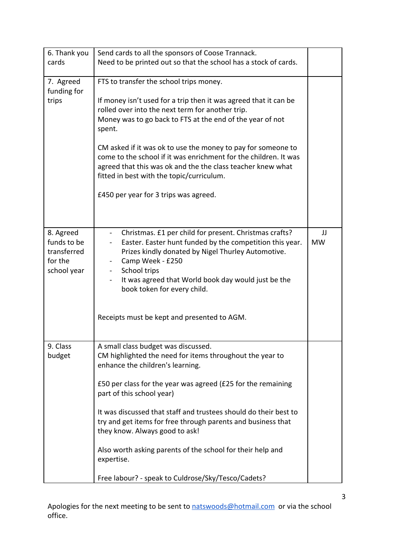| 6. Thank you                                                      | Send cards to all the sponsors of Coose Trannack.                                                                                                                                                                                                                                                                                                                                                                                                                                                                                        |                 |
|-------------------------------------------------------------------|------------------------------------------------------------------------------------------------------------------------------------------------------------------------------------------------------------------------------------------------------------------------------------------------------------------------------------------------------------------------------------------------------------------------------------------------------------------------------------------------------------------------------------------|-----------------|
| cards                                                             | Need to be printed out so that the school has a stock of cards.                                                                                                                                                                                                                                                                                                                                                                                                                                                                          |                 |
| 7. Agreed<br>funding for<br>trips                                 | FTS to transfer the school trips money.<br>If money isn't used for a trip then it was agreed that it can be<br>rolled over into the next term for another trip.<br>Money was to go back to FTS at the end of the year of not<br>spent.<br>CM asked if it was ok to use the money to pay for someone to<br>come to the school if it was enrichment for the children. It was<br>agreed that this was ok and the the class teacher knew what<br>fitted in best with the topic/curriculum.<br>£450 per year for 3 trips was agreed.          |                 |
| 8. Agreed<br>funds to be<br>transferred<br>for the<br>school year | Christmas. £1 per child for present. Christmas crafts?<br>Easter. Easter hunt funded by the competition this year.<br>Prizes kindly donated by Nigel Thurley Automotive.<br>Camp Week - £250<br>School trips<br>$\blacksquare$<br>It was agreed that World book day would just be the<br>book token for every child.<br>Receipts must be kept and presented to AGM.                                                                                                                                                                      | IJ<br><b>MW</b> |
| 9. Class<br>budget                                                | A small class budget was discussed.<br>CM highlighted the need for items throughout the year to<br>enhance the children's learning.<br>£50 per class for the year was agreed (£25 for the remaining<br>part of this school year)<br>It was discussed that staff and trustees should do their best to<br>try and get items for free through parents and business that<br>they know. Always good to ask!<br>Also worth asking parents of the school for their help and<br>expertise.<br>Free labour? - speak to Culdrose/Sky/Tesco/Cadets? |                 |

Apologies for the next meeting to be sent to **natswoods@hotmail.com** or via the school office.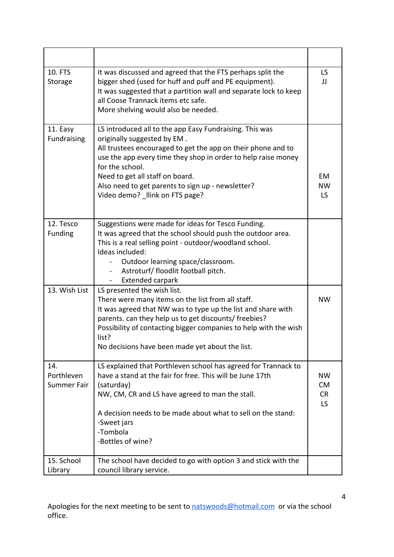| 10. FTS<br>Storage               | It was discussed and agreed that the FTS perhaps split the<br>bigger shed (used for huff and puff and PE equipment).<br>It was suggested that a partition wall and separate lock to keep<br>all Coose Trannack items etc safe.<br>More shelving would also be needed.                                                                                                | <b>LS</b><br>IJ                           |
|----------------------------------|----------------------------------------------------------------------------------------------------------------------------------------------------------------------------------------------------------------------------------------------------------------------------------------------------------------------------------------------------------------------|-------------------------------------------|
| 11. Easy<br>Fundraising          | LS introduced all to the app Easy Fundraising. This was<br>originally suggested by EM.<br>All trustees encouraged to get the app on their phone and to<br>use the app every time they shop in order to help raise money<br>for the school.<br>Need to get all staff on board.<br>Also need to get parents to sign up - newsletter?<br>Video demo? llink on FTS page? | EM<br><b>NW</b><br><b>LS</b>              |
| 12. Tesco<br><b>Funding</b>      | Suggestions were made for ideas for Tesco Funding.<br>It was agreed that the school should push the outdoor area.<br>This is a real selling point - outdoor/woodland school.<br>Ideas included:<br>Outdoor learning space/classroom.<br>Astroturf/ floodlit football pitch.<br>Extended carpark                                                                      |                                           |
| 13. Wish List                    | LS presented the wish list.<br>There were many items on the list from all staff.<br>It was agreed that NW was to type up the list and share with<br>parents. can they help us to get discounts/ freebies?<br>Possibility of contacting bigger companies to help with the wish<br>list?<br>No decisions have been made yet about the list.                            | <b>NW</b>                                 |
| 14.<br>Porthleven<br>Summer Fair | LS explained that Porthleven school has agreed for Trannack to<br>have a stand at the fair for free. This will be June 17th<br>(saturday)<br>NW, CM, CR and LS have agreed to man the stall.<br>A decision needs to be made about what to sell on the stand:<br>-Sweet jars<br>-Tombola<br>-Bottles of wine?                                                         | <b>NW</b><br><b>CM</b><br><b>CR</b><br>LS |
| 15. School<br>Library            | The school have decided to go with option 3 and stick with the<br>council library service.                                                                                                                                                                                                                                                                           |                                           |